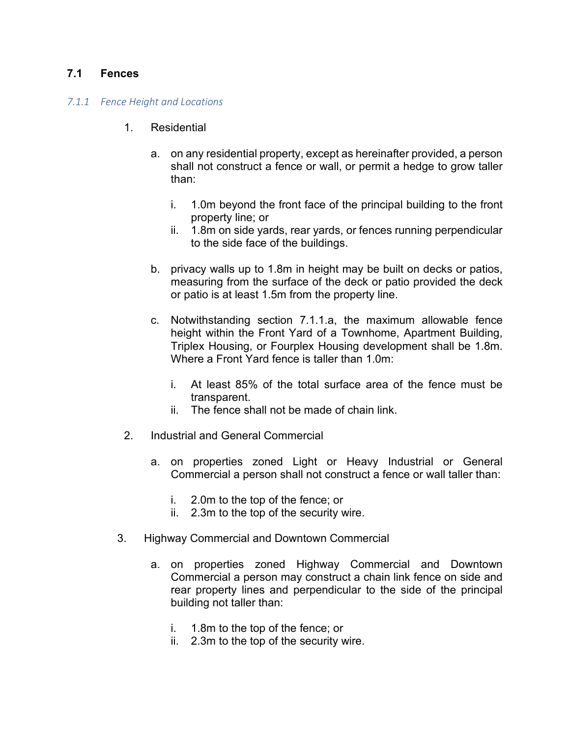# **7.1 Fences**

### *7.1.1 Fence Height and Locations*

- 1. Residential
	- a. on any residential property, except as hereinafter provided, a person shall not construct a fence or wall, or permit a hedge to grow taller than:
		- i. 1.0m beyond the front face of the principal building to the front property line; or
		- ii. 1.8m on side yards, rear yards, or fences running perpendicular to the side face of the buildings.
	- b. privacy walls up to 1.8m in height may be built on decks or patios, measuring from the surface of the deck or patio provided the deck or patio is at least 1.5m from the property line.
	- c. Notwithstanding section 7.1.1.a, the maximum allowable fence height within the Front Yard of a Townhome, Apartment Building, Triplex Housing, or Fourplex Housing development shall be 1.8m. Where a Front Yard fence is taller than 1.0m:
		- i. At least 85% of the total surface area of the fence must be transparent.
		- ii. The fence shall not be made of chain link.
- 2. Industrial and General Commercial
	- a. on properties zoned Light or Heavy Industrial or General Commercial a person shall not construct a fence or wall taller than:
		- i. 2.0m to the top of the fence; or
		- ii. 2.3m to the top of the security wire.
- 3. Highway Commercial and Downtown Commercial
	- a. on properties zoned Highway Commercial and Downtown Commercial a person may construct a chain link fence on side and rear property lines and perpendicular to the side of the principal building not taller than:
		- i. 1.8m to the top of the fence; or
		- ii. 2.3m to the top of the security wire.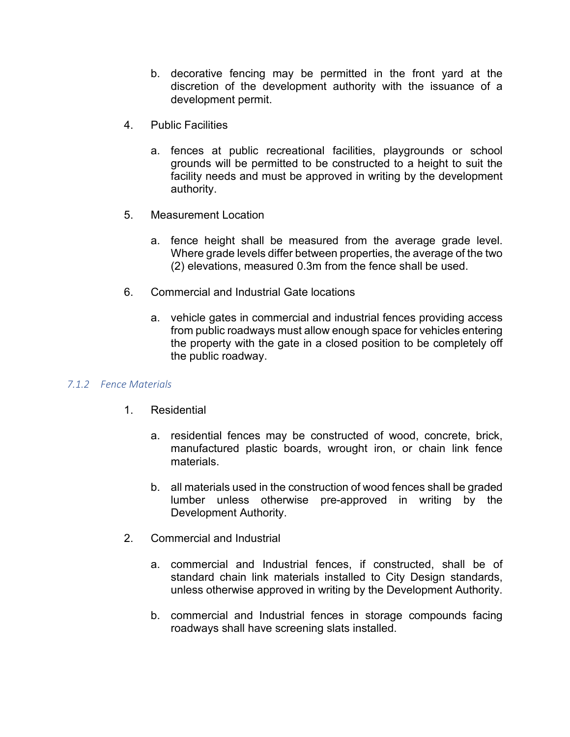- b. decorative fencing may be permitted in the front yard at the discretion of the development authority with the issuance of a development permit.
- 4. Public Facilities
	- a. fences at public recreational facilities, playgrounds or school grounds will be permitted to be constructed to a height to suit the facility needs and must be approved in writing by the development authority.
- 5. Measurement Location
	- a. fence height shall be measured from the average grade level. Where grade levels differ between properties, the average of the two (2) elevations, measured 0.3m from the fence shall be used.
- 6. Commercial and Industrial Gate locations
	- a. vehicle gates in commercial and industrial fences providing access from public roadways must allow enough space for vehicles entering the property with the gate in a closed position to be completely off the public roadway.

## *7.1.2 Fence Materials*

- 1. Residential
	- a. residential fences may be constructed of wood, concrete, brick, manufactured plastic boards, wrought iron, or chain link fence materials.
	- b. all materials used in the construction of wood fences shall be graded lumber unless otherwise pre-approved in writing by the Development Authority.
- 2. Commercial and Industrial
	- a. commercial and Industrial fences, if constructed, shall be of standard chain link materials installed to City Design standards, unless otherwise approved in writing by the Development Authority.
	- b. commercial and Industrial fences in storage compounds facing roadways shall have screening slats installed.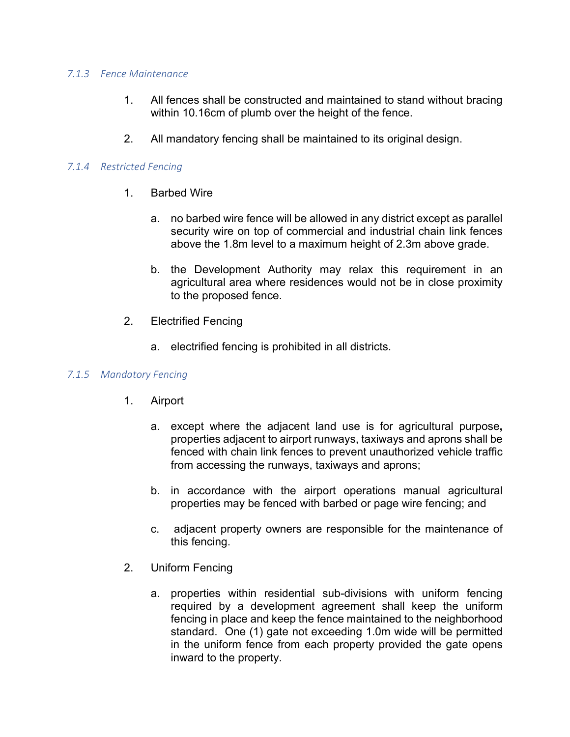#### *7.1.3 Fence Maintenance*

- 1. All fences shall be constructed and maintained to stand without bracing within 10.16cm of plumb over the height of the fence.
- 2. All mandatory fencing shall be maintained to its original design.

## *7.1.4 Restricted Fencing*

- 1. Barbed Wire
	- a. no barbed wire fence will be allowed in any district except as parallel security wire on top of commercial and industrial chain link fences above the 1.8m level to a maximum height of 2.3m above grade.
	- b. the Development Authority may relax this requirement in an agricultural area where residences would not be in close proximity to the proposed fence.
- 2. Electrified Fencing
	- a. electrified fencing is prohibited in all districts.

## *7.1.5 Mandatory Fencing*

- 1. Airport
	- a. except where the adjacent land use is for agricultural purpose**,** properties adjacent to airport runways, taxiways and aprons shall be fenced with chain link fences to prevent unauthorized vehicle traffic from accessing the runways, taxiways and aprons;
	- b. in accordance with the airport operations manual agricultural properties may be fenced with barbed or page wire fencing; and
	- c. adjacent property owners are responsible for the maintenance of this fencing.
- 2. Uniform Fencing
	- a. properties within residential sub-divisions with uniform fencing required by a development agreement shall keep the uniform fencing in place and keep the fence maintained to the neighborhood standard. One (1) gate not exceeding 1.0m wide will be permitted in the uniform fence from each property provided the gate opens inward to the property.